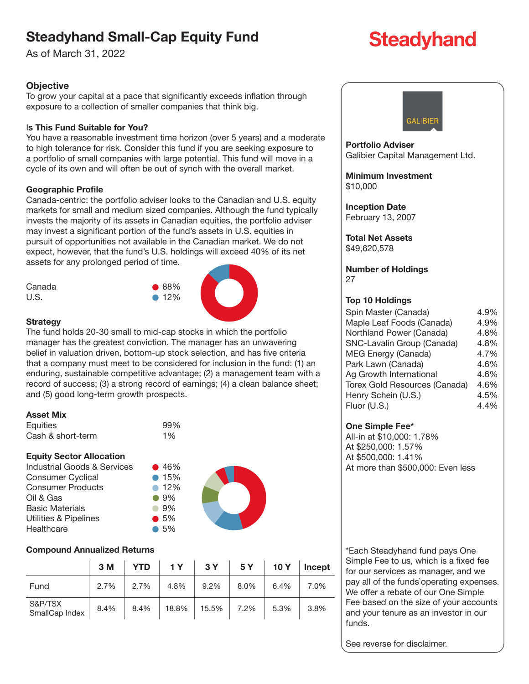# **Steadyhand Small-Cap Equity Fund**

As of March 31, 2022

# **Objective**

To grow your capital at a pace that significantly exceeds inflation through exposure to a collection of smaller companies that think big.

## I**s This Fund Suitable for You?**

You have a reasonable investment time horizon (over 5 years) and a moderate to high tolerance for risk. Consider this fund if you are seeking exposure to a portfolio of small companies with large potential. This fund will move in a cycle of its own and will often be out of synch with the overall market.

## **Geographic Profile**

Canada-centric: the portfolio adviser looks to the Canadian and U.S. equity markets for small and medium sized companies. Although the fund typically invests the majority of its assets in Canadian equities, the portfolio adviser may invest a significant portion of the fund's assets in U.S. equities in pursuit of opportunities not available in the Canadian market. We do not expect, however, that the fund's U.S. holdings will exceed 40% of its net assets for any prolonged period of time.



#### **Strategy**

The fund holds 20-30 small to mid-cap stocks in which the portfolio manager has the greatest conviction. The manager has an unwavering belief in valuation driven, bottom-up stock selection, and has five criteria that a company must meet to be considered for inclusion in the fund: (1) an enduring, sustainable competitive advantage; (2) a management team with a record of success; (3) a strong record of earnings; (4) a clean balance sheet; and (5) good long-term growth prospects.

#### **Asset Mix**

| Equities          | 99%   |
|-------------------|-------|
| Cash & short-term | $1\%$ |

#### **Equity Sector Allocation**

Industrial Goods & Services  $\bullet$  46% Consumer Cyclical **15%** Consumer Products **12%** Oil & Gas 9% Basic Materials **89%** Utilities & Pipelines **6 5%** Healthcare 65%



#### **Compound Annualized Returns**

|                           | 3M   | <b>YTD</b> | 1Y    | 3Y    | 5Y   | 10Y  | <b>Incept</b> |
|---------------------------|------|------------|-------|-------|------|------|---------------|
| Fund                      | 2.7% | 2.7%       | 4.8%  | 9.2%  | 8.0% | 6.4% | 7.0%          |
| S&P/TSX<br>SmallCap Index | 8.4% | 8.4%       | 18.8% | 15.5% | 7.2% | 5.3% | 3.8%          |



**Portfolio Adviser** Galibier Capital Management Ltd.

**Minimum Investment** \$10,000

**Inception Date** February 13, 2007

**Total Net Assets** \$49,620,578

**Number of Holdings** 27

#### **Top 10 Holdings**

| Spin Master (Canada)          | 4.9% |
|-------------------------------|------|
| Maple Leaf Foods (Canada)     | 4.9% |
| Northland Power (Canada)      | 4.8% |
| SNC-Lavalin Group (Canada)    | 4.8% |
| MEG Energy (Canada)           | 4.7% |
| Park Lawn (Canada)            | 4.6% |
| Ag Growth International       | 4.6% |
| Torex Gold Resources (Canada) | 4.6% |
| Henry Schein (U.S.)           | 4.5% |
| Fluor (U.S.)                  | 4.4% |

#### **One Simple Fee\***

All-in at \$10,000: 1.78% At \$250,000: 1.57% At \$500,000: 1.41% At more than \$500,000: Even less

\*Each Steadyhand fund pays One Simple Fee to us, which is a fixed fee for our services as manager, and we pay all of the funds`operating expenses. We offer a rebate of our One Simple Fee based on the size of your accounts and your tenure as an investor in our funds.

See reverse for disclaimer.

# **Steadyhand**